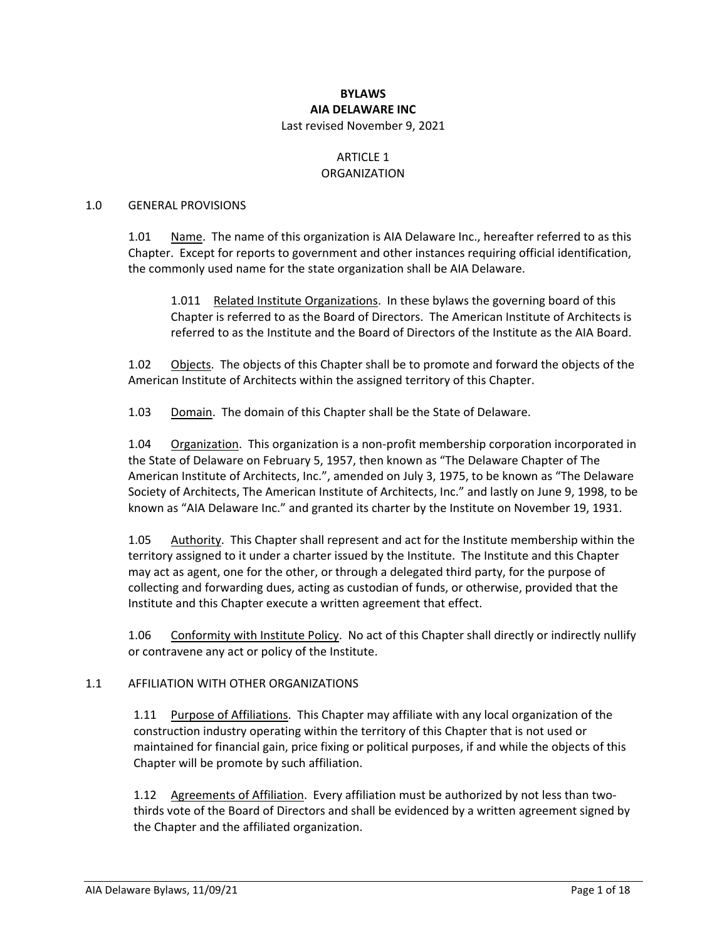#### **BYLAWS AIA DELAWARE INC** Last revised November 9, 2021

#### ARTICLE 1 ORGANIZATION

#### 1.0 GENERAL PROVISIONS

1.01 Name. The name of this organization is AIA Delaware Inc., hereafter referred to as this Chapter. Except for reports to government and other instances requiring official identification, the commonly used name for the state organization shall be AIA Delaware.

1.011 Related Institute Organizations. In these bylaws the governing board of this Chapter is referred to as the Board of Directors. The American Institute of Architects is referred to as the Institute and the Board of Directors of the Institute as the AIA Board.

1.02 Objects. The objects of this Chapter shall be to promote and forward the objects of the American Institute of Architects within the assigned territory of this Chapter.

1.03 Domain. The domain of this Chapter shall be the State of Delaware.

1.04 Organization. This organization is a non-profit membership corporation incorporated in the State of Delaware on February 5, 1957, then known as "The Delaware Chapter of The American Institute of Architects, Inc.", amended on July 3, 1975, to be known as "The Delaware Society of Architects, The American Institute of Architects, Inc." and lastly on June 9, 1998, to be known as "AIA Delaware Inc." and granted its charter by the Institute on November 19, 1931.

1.05 Authority. This Chapter shall represent and act for the Institute membership within the territory assigned to it under a charter issued by the Institute. The Institute and this Chapter may act as agent, one for the other, or through a delegated third party, for the purpose of collecting and forwarding dues, acting as custodian of funds, or otherwise, provided that the Institute and this Chapter execute a written agreement that effect.

1.06 Conformity with Institute Policy. No act of this Chapter shall directly or indirectly nullify or contravene any act or policy of the Institute.

#### 1.1 AFFILIATION WITH OTHER ORGANIZATIONS

1.11 Purpose of Affiliations. This Chapter may affiliate with any local organization of the construction industry operating within the territory of this Chapter that is not used or maintained for financial gain, price fixing or political purposes, if and while the objects of this Chapter will be promote by such affiliation.

1.12 Agreements of Affiliation. Every affiliation must be authorized by not less than twothirds vote of the Board of Directors and shall be evidenced by a written agreement signed by the Chapter and the affiliated organization.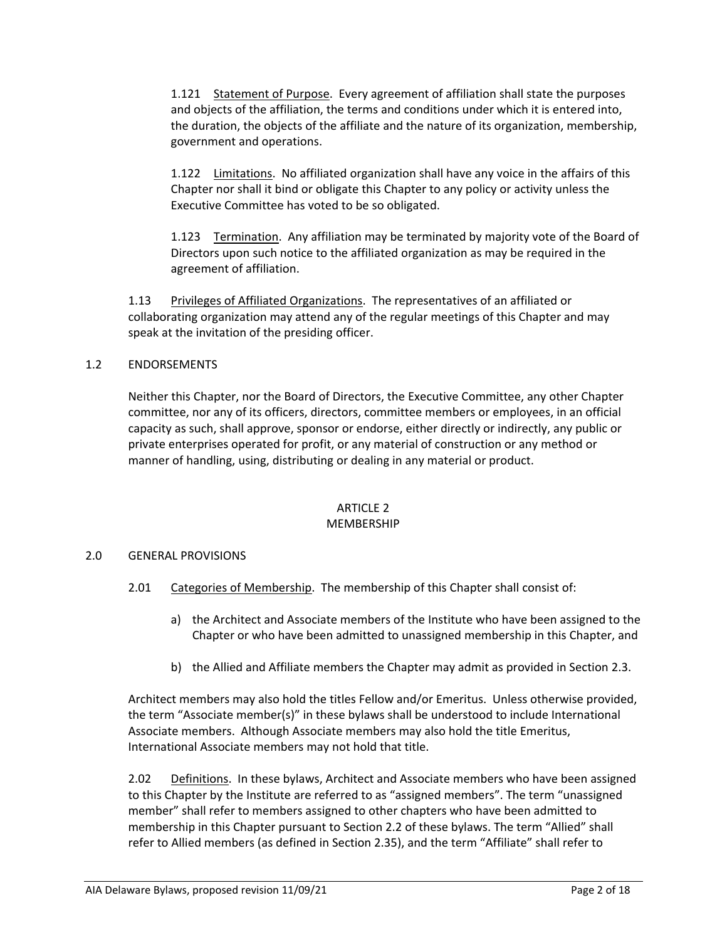1.121 Statement of Purpose. Every agreement of affiliation shall state the purposes and objects of the affiliation, the terms and conditions under which it is entered into, the duration, the objects of the affiliate and the nature of its organization, membership, government and operations.

1.122 Limitations. No affiliated organization shall have any voice in the affairs of this Chapter nor shall it bind or obligate this Chapter to any policy or activity unless the Executive Committee has voted to be so obligated.

1.123 Termination. Any affiliation may be terminated by majority vote of the Board of Directors upon such notice to the affiliated organization as may be required in the agreement of affiliation.

1.13 Privileges of Affiliated Organizations. The representatives of an affiliated or collaborating organization may attend any of the regular meetings of this Chapter and may speak at the invitation of the presiding officer.

### 1.2 ENDORSEMENTS

Neither this Chapter, nor the Board of Directors, the Executive Committee, any other Chapter committee, nor any of its officers, directors, committee members or employees, in an official capacity as such, shall approve, sponsor or endorse, either directly or indirectly, any public or private enterprises operated for profit, or any material of construction or any method or manner of handling, using, distributing or dealing in any material or product.

# ARTICLE 2

#### MEMBERSHIP

# 2.0 GENERAL PROVISIONS

- 2.01 Categories of Membership. The membership of this Chapter shall consist of:
	- a) the Architect and Associate members of the Institute who have been assigned to the Chapter or who have been admitted to unassigned membership in this Chapter, and
	- b) the Allied and Affiliate members the Chapter may admit as provided in Section 2.3.

Architect members may also hold the titles Fellow and/or Emeritus. Unless otherwise provided, the term "Associate member(s)" in these bylaws shall be understood to include International Associate members. Although Associate members may also hold the title Emeritus, International Associate members may not hold that title.

2.02 Definitions. In these bylaws, Architect and Associate members who have been assigned to this Chapter by the Institute are referred to as "assigned members". The term "unassigned member" shall refer to members assigned to other chapters who have been admitted to membership in this Chapter pursuant to Section 2.2 of these bylaws. The term "Allied" shall refer to Allied members (as defined in Section 2.35), and the term "Affiliate" shall refer to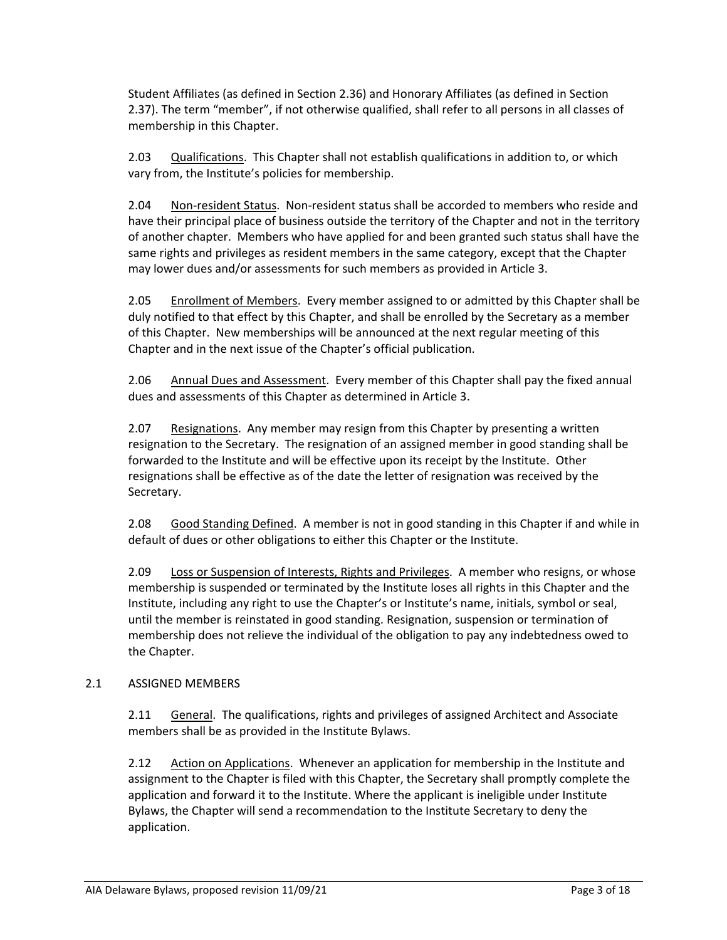Student Affiliates (as defined in Section 2.36) and Honorary Affiliates (as defined in Section 2.37). The term "member", if not otherwise qualified, shall refer to all persons in all classes of membership in this Chapter.

2.03 Qualifications. This Chapter shall not establish qualifications in addition to, or which vary from, the Institute's policies for membership.

2.04 Non‐resident Status. Non‐resident status shall be accorded to members who reside and have their principal place of business outside the territory of the Chapter and not in the territory of another chapter. Members who have applied for and been granted such status shall have the same rights and privileges as resident members in the same category, except that the Chapter may lower dues and/or assessments for such members as provided in Article 3.

2.05 Enrollment of Members. Every member assigned to or admitted by this Chapter shall be duly notified to that effect by this Chapter, and shall be enrolled by the Secretary as a member of this Chapter. New memberships will be announced at the next regular meeting of this Chapter and in the next issue of the Chapter's official publication.

2.06 Annual Dues and Assessment. Every member of this Chapter shall pay the fixed annual dues and assessments of this Chapter as determined in Article 3.

2.07 Resignations. Any member may resign from this Chapter by presenting a written resignation to the Secretary. The resignation of an assigned member in good standing shall be forwarded to the Institute and will be effective upon its receipt by the Institute. Other resignations shall be effective as of the date the letter of resignation was received by the Secretary.

2.08 Good Standing Defined. A member is not in good standing in this Chapter if and while in default of dues or other obligations to either this Chapter or the Institute.

2.09 Loss or Suspension of Interests, Rights and Privileges. A member who resigns, or whose membership is suspended or terminated by the Institute loses all rights in this Chapter and the Institute, including any right to use the Chapter's or Institute's name, initials, symbol or seal, until the member is reinstated in good standing. Resignation, suspension or termination of membership does not relieve the individual of the obligation to pay any indebtedness owed to the Chapter.

# 2.1 ASSIGNED MEMBERS

2.11 General. The qualifications, rights and privileges of assigned Architect and Associate members shall be as provided in the Institute Bylaws.

2.12 Action on Applications. Whenever an application for membership in the Institute and assignment to the Chapter is filed with this Chapter, the Secretary shall promptly complete the application and forward it to the Institute. Where the applicant is ineligible under Institute Bylaws, the Chapter will send a recommendation to the Institute Secretary to deny the application.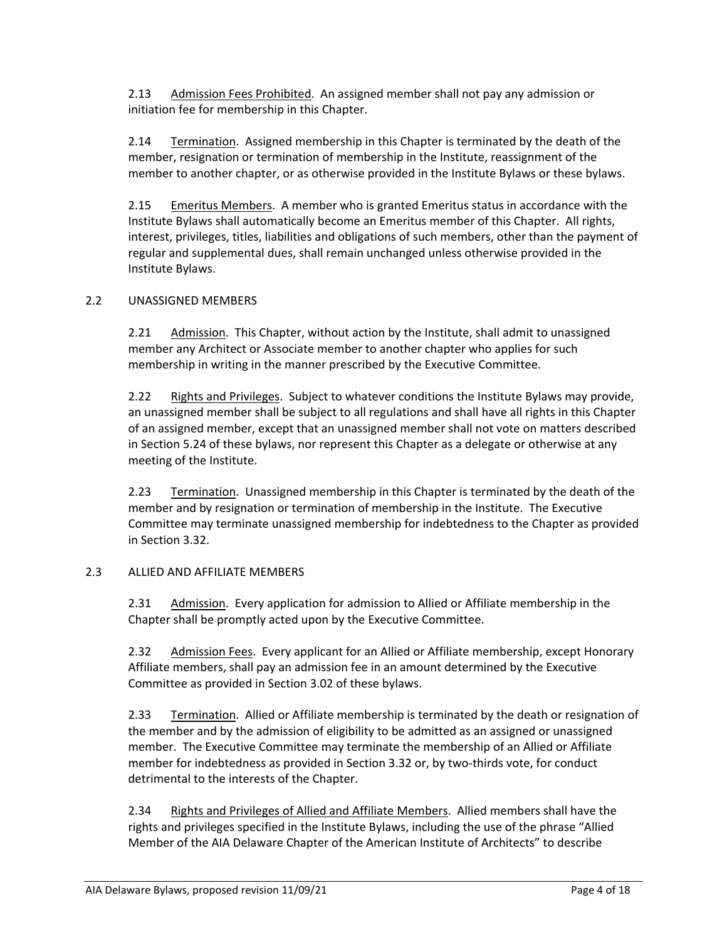2.13 Admission Fees Prohibited. An assigned member shall not pay any admission or initiation fee for membership in this Chapter.

2.14 Termination. Assigned membership in this Chapter is terminated by the death of the member, resignation or termination of membership in the Institute, reassignment of the member to another chapter, or as otherwise provided in the Institute Bylaws or these bylaws.

2.15 Emeritus Members. A member who is granted Emeritus status in accordance with the Institute Bylaws shall automatically become an Emeritus member of this Chapter. All rights, interest, privileges, titles, liabilities and obligations of such members, other than the payment of regular and supplemental dues, shall remain unchanged unless otherwise provided in the Institute Bylaws.

### 2.2 UNASSIGNED MEMBERS

2.21 Admission. This Chapter, without action by the Institute, shall admit to unassigned member any Architect or Associate member to another chapter who applies for such membership in writing in the manner prescribed by the Executive Committee.

2.22 Rights and Privileges. Subject to whatever conditions the Institute Bylaws may provide, an unassigned member shall be subject to all regulations and shall have all rights in this Chapter of an assigned member, except that an unassigned member shall not vote on matters described in Section 5.24 of these bylaws, nor represent this Chapter as a delegate or otherwise at any meeting of the Institute.

2.23 Termination. Unassigned membership in this Chapter is terminated by the death of the member and by resignation or termination of membership in the Institute. The Executive Committee may terminate unassigned membership for indebtedness to the Chapter as provided in Section 3.32.

#### 2.3 ALLIED AND AFFILIATE MEMBERS

2.31 Admission. Every application for admission to Allied or Affiliate membership in the Chapter shall be promptly acted upon by the Executive Committee.

2.32 Admission Fees. Every applicant for an Allied or Affiliate membership, except Honorary Affiliate members, shall pay an admission fee in an amount determined by the Executive Committee as provided in Section 3.02 of these bylaws.

2.33 Termination. Allied or Affiliate membership is terminated by the death or resignation of the member and by the admission of eligibility to be admitted as an assigned or unassigned member. The Executive Committee may terminate the membership of an Allied or Affiliate member for indebtedness as provided in Section 3.32 or, by two-thirds vote, for conduct detrimental to the interests of the Chapter.

2.34 Rights and Privileges of Allied and Affiliate Members. Allied members shall have the rights and privileges specified in the Institute Bylaws, including the use of the phrase "Allied Member of the AIA Delaware Chapter of the American Institute of Architects" to describe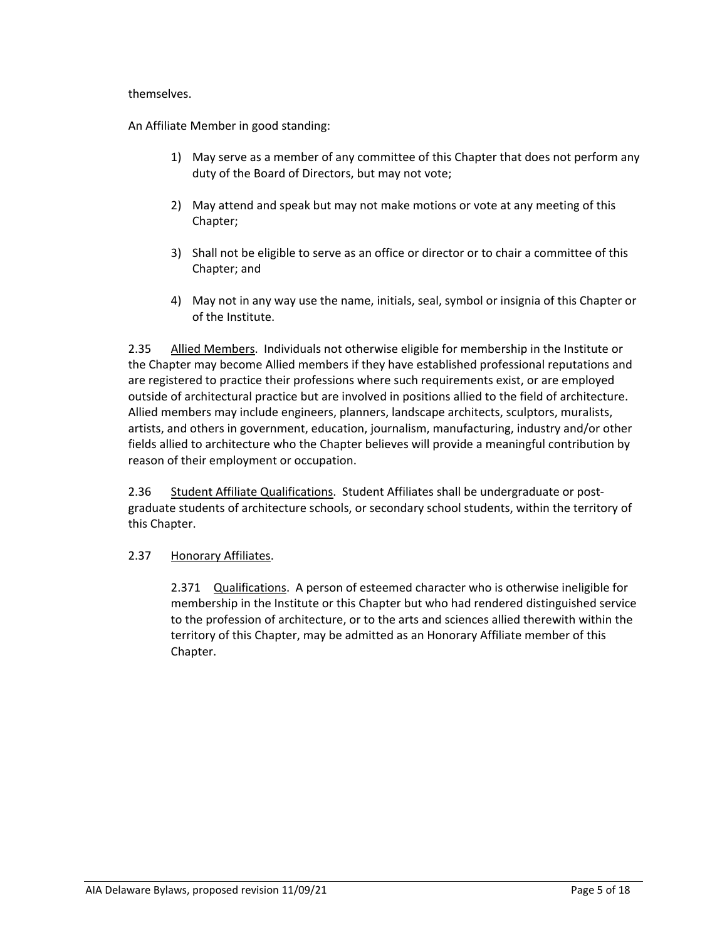#### themselves.

An Affiliate Member in good standing:

- 1) May serve as a member of any committee of this Chapter that does not perform any duty of the Board of Directors, but may not vote;
- 2) May attend and speak but may not make motions or vote at any meeting of this Chapter;
- 3) Shall not be eligible to serve as an office or director or to chair a committee of this Chapter; and
- 4) May not in any way use the name, initials, seal, symbol or insignia of this Chapter or of the Institute.

2.35 Allied Members. Individuals not otherwise eligible for membership in the Institute or the Chapter may become Allied members if they have established professional reputations and are registered to practice their professions where such requirements exist, or are employed outside of architectural practice but are involved in positions allied to the field of architecture. Allied members may include engineers, planners, landscape architects, sculptors, muralists, artists, and others in government, education, journalism, manufacturing, industry and/or other fields allied to architecture who the Chapter believes will provide a meaningful contribution by reason of their employment or occupation.

2.36 Student Affiliate Qualifications. Student Affiliates shall be undergraduate or postgraduate students of architecture schools, or secondary school students, within the territory of this Chapter.

# 2.37 Honorary Affiliates.

2.371 Qualifications. A person of esteemed character who is otherwise ineligible for membership in the Institute or this Chapter but who had rendered distinguished service to the profession of architecture, or to the arts and sciences allied therewith within the territory of this Chapter, may be admitted as an Honorary Affiliate member of this Chapter.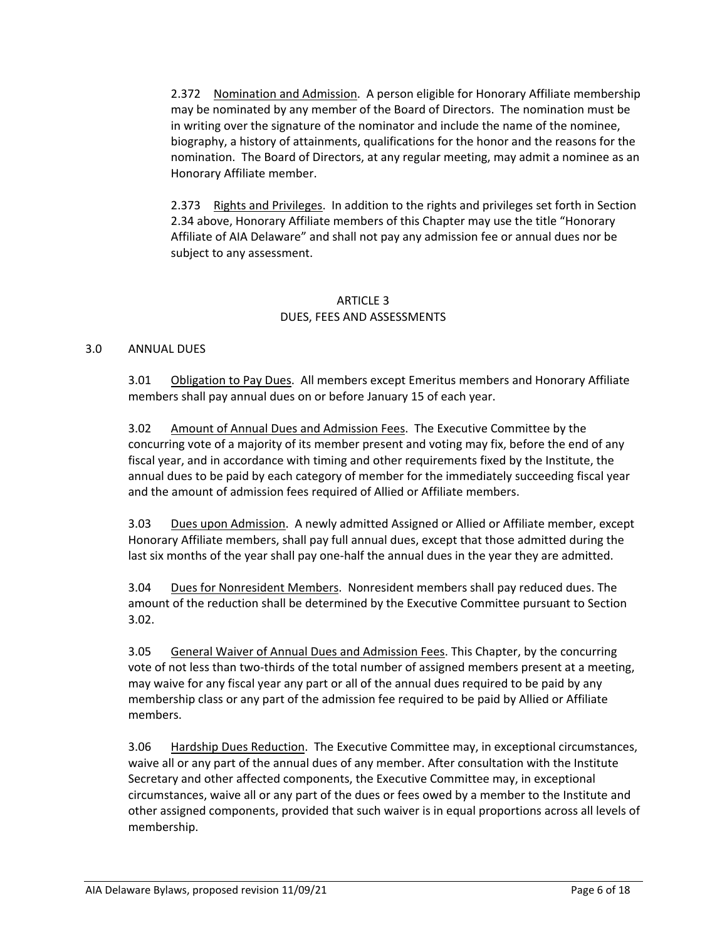2.372 Nomination and Admission. A person eligible for Honorary Affiliate membership may be nominated by any member of the Board of Directors. The nomination must be in writing over the signature of the nominator and include the name of the nominee, biography, a history of attainments, qualifications for the honor and the reasons for the nomination. The Board of Directors, at any regular meeting, may admit a nominee as an Honorary Affiliate member.

2.373 Rights and Privileges. In addition to the rights and privileges set forth in Section 2.34 above, Honorary Affiliate members of this Chapter may use the title "Honorary Affiliate of AIA Delaware" and shall not pay any admission fee or annual dues nor be subject to any assessment.

### ARTICLE 3 DUES, FEES AND ASSESSMENTS

#### 3.0 ANNUAL DUES

3.01 Obligation to Pay Dues. All members except Emeritus members and Honorary Affiliate members shall pay annual dues on or before January 15 of each year.

3.02 Amount of Annual Dues and Admission Fees. The Executive Committee by the concurring vote of a majority of its member present and voting may fix, before the end of any fiscal year, and in accordance with timing and other requirements fixed by the Institute, the annual dues to be paid by each category of member for the immediately succeeding fiscal year and the amount of admission fees required of Allied or Affiliate members.

3.03 Dues upon Admission. A newly admitted Assigned or Allied or Affiliate member, except Honorary Affiliate members, shall pay full annual dues, except that those admitted during the last six months of the year shall pay one-half the annual dues in the year they are admitted.

3.04 Dues for Nonresident Members. Nonresident members shall pay reduced dues. The amount of the reduction shall be determined by the Executive Committee pursuant to Section 3.02.

3.05 General Waiver of Annual Dues and Admission Fees. This Chapter, by the concurring vote of not less than two‐thirds of the total number of assigned members present at a meeting, may waive for any fiscal year any part or all of the annual dues required to be paid by any membership class or any part of the admission fee required to be paid by Allied or Affiliate members.

3.06 Hardship Dues Reduction. The Executive Committee may, in exceptional circumstances, waive all or any part of the annual dues of any member. After consultation with the Institute Secretary and other affected components, the Executive Committee may, in exceptional circumstances, waive all or any part of the dues or fees owed by a member to the Institute and other assigned components, provided that such waiver is in equal proportions across all levels of membership.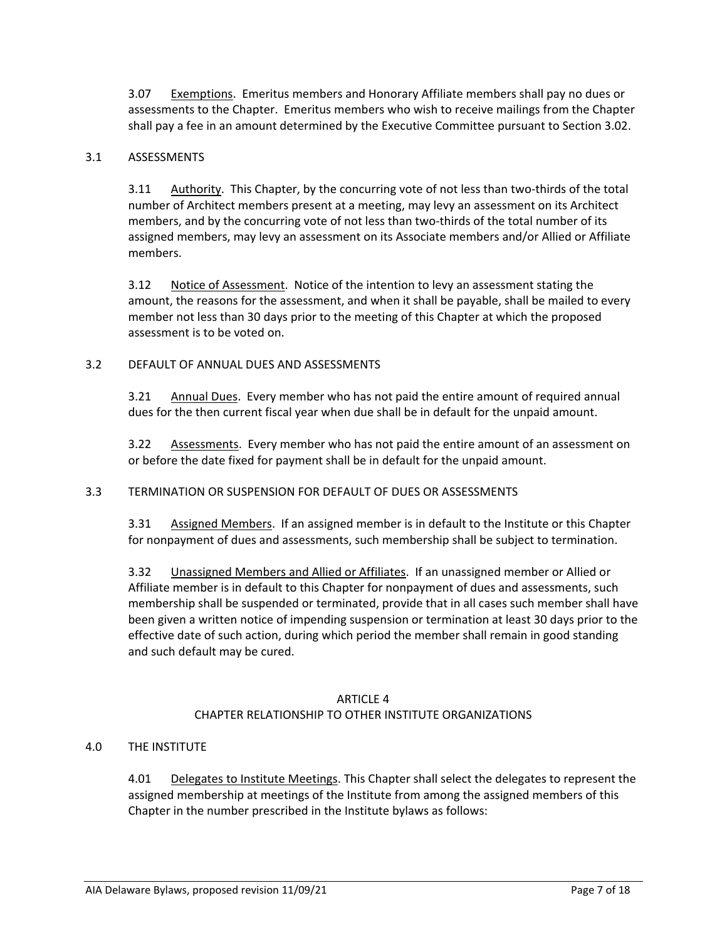3.07 Exemptions. Emeritus members and Honorary Affiliate members shall pay no dues or assessments to the Chapter. Emeritus members who wish to receive mailings from the Chapter shall pay a fee in an amount determined by the Executive Committee pursuant to Section 3.02.

#### 3.1 ASSESSMENTS

3.11 Authority. This Chapter, by the concurring vote of not less than two-thirds of the total number of Architect members present at a meeting, may levy an assessment on its Architect members, and by the concurring vote of not less than two-thirds of the total number of its assigned members, may levy an assessment on its Associate members and/or Allied or Affiliate members.

3.12 Notice of Assessment. Notice of the intention to levy an assessment stating the amount, the reasons for the assessment, and when it shall be payable, shall be mailed to every member not less than 30 days prior to the meeting of this Chapter at which the proposed assessment is to be voted on.

### 3.2 DEFAULT OF ANNUAL DUES AND ASSESSMENTS

3.21 Annual Dues. Every member who has not paid the entire amount of required annual dues for the then current fiscal year when due shall be in default for the unpaid amount.

3.22 Assessments. Every member who has not paid the entire amount of an assessment on or before the date fixed for payment shall be in default for the unpaid amount.

# 3.3 TERMINATION OR SUSPENSION FOR DEFAULT OF DUES OR ASSESSMENTS

3.31 Assigned Members. If an assigned member is in default to the Institute or this Chapter for nonpayment of dues and assessments, such membership shall be subject to termination.

3.32 Unassigned Members and Allied or Affiliates. If an unassigned member or Allied or Affiliate member is in default to this Chapter for nonpayment of dues and assessments, such membership shall be suspended or terminated, provide that in all cases such member shall have been given a written notice of impending suspension or termination at least 30 days prior to the effective date of such action, during which period the member shall remain in good standing and such default may be cured.

#### ARTICLE 4

#### CHAPTER RELATIONSHIP TO OTHER INSTITUTE ORGANIZATIONS

#### 4.0 THE INSTITUTE

4.01 Delegates to Institute Meetings. This Chapter shall select the delegates to represent the assigned membership at meetings of the Institute from among the assigned members of this Chapter in the number prescribed in the Institute bylaws as follows: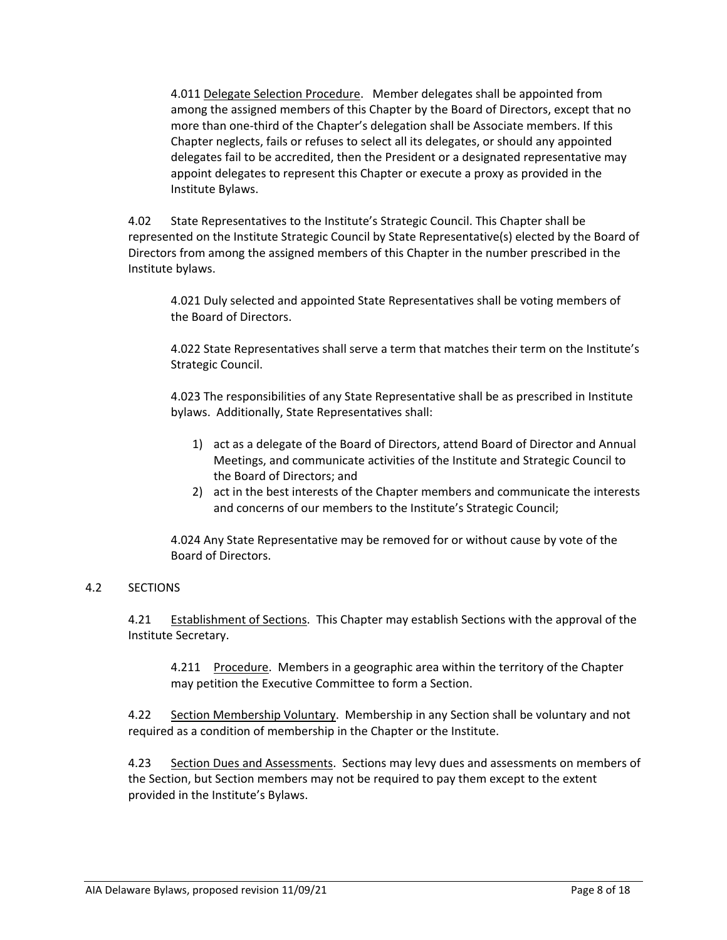4.011 Delegate Selection Procedure. Member delegates shall be appointed from among the assigned members of this Chapter by the Board of Directors, except that no more than one‐third of the Chapter's delegation shall be Associate members. If this Chapter neglects, fails or refuses to select all its delegates, or should any appointed delegates fail to be accredited, then the President or a designated representative may appoint delegates to represent this Chapter or execute a proxy as provided in the Institute Bylaws.

4.02 State Representatives to the Institute's Strategic Council. This Chapter shall be represented on the Institute Strategic Council by State Representative(s) elected by the Board of Directors from among the assigned members of this Chapter in the number prescribed in the Institute bylaws.

4.021 Duly selected and appointed State Representatives shall be voting members of the Board of Directors.

4.022 State Representatives shall serve a term that matches their term on the Institute's Strategic Council.

4.023 The responsibilities of any State Representative shall be as prescribed in Institute bylaws. Additionally, State Representatives shall:

- 1) act as a delegate of the Board of Directors, attend Board of Director and Annual Meetings, and communicate activities of the Institute and Strategic Council to the Board of Directors; and
- 2) act in the best interests of the Chapter members and communicate the interests and concerns of our members to the Institute's Strategic Council;

4.024 Any State Representative may be removed for or without cause by vote of the Board of Directors.

#### 4.2 SECTIONS

4.21 Establishment of Sections. This Chapter may establish Sections with the approval of the Institute Secretary.

4.211 Procedure. Members in a geographic area within the territory of the Chapter may petition the Executive Committee to form a Section.

4.22 Section Membership Voluntary. Membership in any Section shall be voluntary and not required as a condition of membership in the Chapter or the Institute.

4.23 Section Dues and Assessments. Sections may levy dues and assessments on members of the Section, but Section members may not be required to pay them except to the extent provided in the Institute's Bylaws.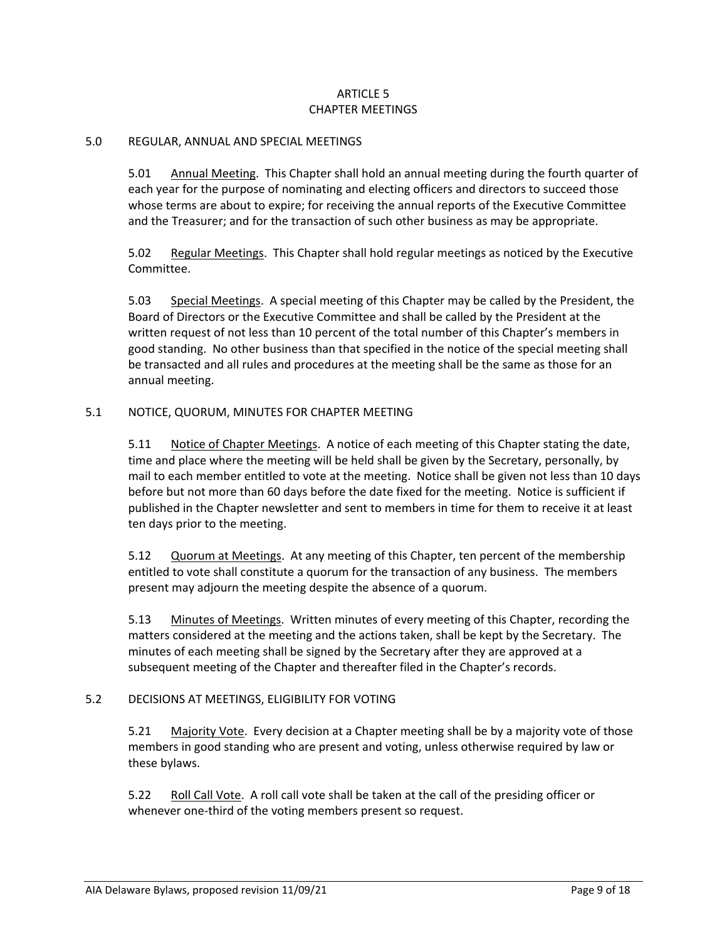### ARTICLE 5 CHAPTER MEETINGS

#### 5.0 REGULAR, ANNUAL AND SPECIAL MEETINGS

5.01 Annual Meeting. This Chapter shall hold an annual meeting during the fourth quarter of each year for the purpose of nominating and electing officers and directors to succeed those whose terms are about to expire; for receiving the annual reports of the Executive Committee and the Treasurer; and for the transaction of such other business as may be appropriate.

5.02 Regular Meetings. This Chapter shall hold regular meetings as noticed by the Executive Committee.

5.03 Special Meetings. A special meeting of this Chapter may be called by the President, the Board of Directors or the Executive Committee and shall be called by the President at the written request of not less than 10 percent of the total number of this Chapter's members in good standing. No other business than that specified in the notice of the special meeting shall be transacted and all rules and procedures at the meeting shall be the same as those for an annual meeting.

#### 5.1 NOTICE, QUORUM, MINUTES FOR CHAPTER MEETING

5.11 Notice of Chapter Meetings. A notice of each meeting of this Chapter stating the date, time and place where the meeting will be held shall be given by the Secretary, personally, by mail to each member entitled to vote at the meeting. Notice shall be given not less than 10 days before but not more than 60 days before the date fixed for the meeting. Notice is sufficient if published in the Chapter newsletter and sent to members in time for them to receive it at least ten days prior to the meeting.

5.12 Quorum at Meetings. At any meeting of this Chapter, ten percent of the membership entitled to vote shall constitute a quorum for the transaction of any business. The members present may adjourn the meeting despite the absence of a quorum.

5.13 Minutes of Meetings. Written minutes of every meeting of this Chapter, recording the matters considered at the meeting and the actions taken, shall be kept by the Secretary. The minutes of each meeting shall be signed by the Secretary after they are approved at a subsequent meeting of the Chapter and thereafter filed in the Chapter's records.

#### 5.2 DECISIONS AT MEETINGS, ELIGIBILITY FOR VOTING

5.21 Majority Vote. Every decision at a Chapter meeting shall be by a majority vote of those members in good standing who are present and voting, unless otherwise required by law or these bylaws.

5.22 Roll Call Vote. A roll call vote shall be taken at the call of the presiding officer or whenever one-third of the voting members present so request.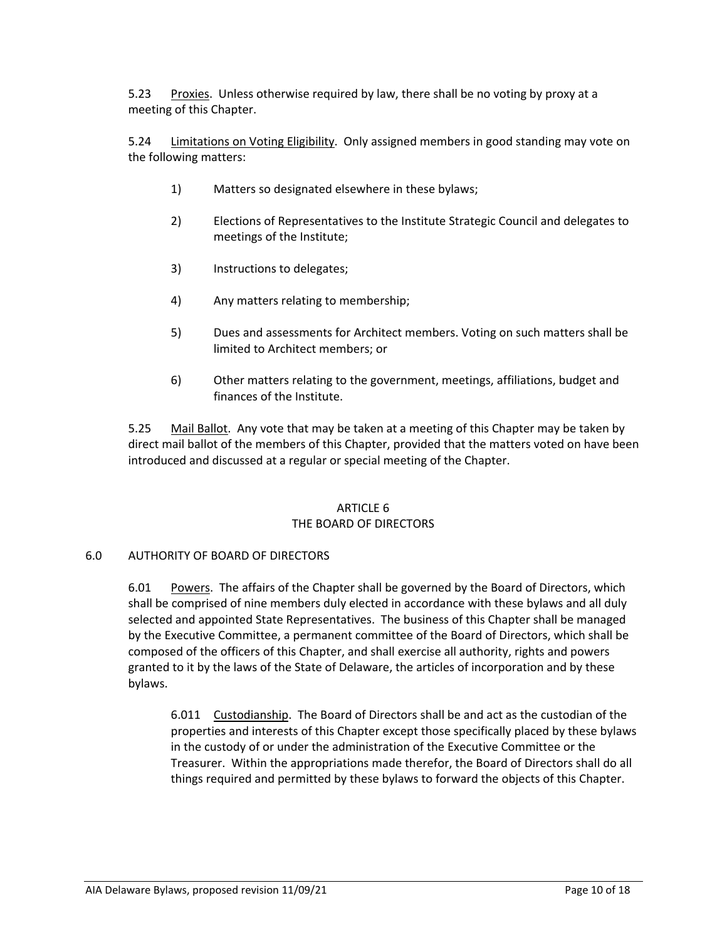5.23 Proxies. Unless otherwise required by law, there shall be no voting by proxy at a meeting of this Chapter.

5.24 Limitations on Voting Eligibility. Only assigned members in good standing may vote on the following matters:

- 1) Matters so designated elsewhere in these bylaws;
- 2) Elections of Representatives to the Institute Strategic Council and delegates to meetings of the Institute;
- 3) Instructions to delegates;
- 4) Any matters relating to membership;
- 5) Dues and assessments for Architect members. Voting on such matters shall be limited to Architect members; or
- 6) Other matters relating to the government, meetings, affiliations, budget and finances of the Institute.

5.25 Mail Ballot. Any vote that may be taken at a meeting of this Chapter may be taken by direct mail ballot of the members of this Chapter, provided that the matters voted on have been introduced and discussed at a regular or special meeting of the Chapter.

# ARTICLE 6

#### THE BOARD OF DIRECTORS

#### 6.0 AUTHORITY OF BOARD OF DIRECTORS

6.01 Powers. The affairs of the Chapter shall be governed by the Board of Directors, which shall be comprised of nine members duly elected in accordance with these bylaws and all duly selected and appointed State Representatives. The business of this Chapter shall be managed by the Executive Committee, a permanent committee of the Board of Directors, which shall be composed of the officers of this Chapter, and shall exercise all authority, rights and powers granted to it by the laws of the State of Delaware, the articles of incorporation and by these bylaws.

6.011 Custodianship. The Board of Directors shall be and act as the custodian of the properties and interests of this Chapter except those specifically placed by these bylaws in the custody of or under the administration of the Executive Committee or the Treasurer. Within the appropriations made therefor, the Board of Directors shall do all things required and permitted by these bylaws to forward the objects of this Chapter.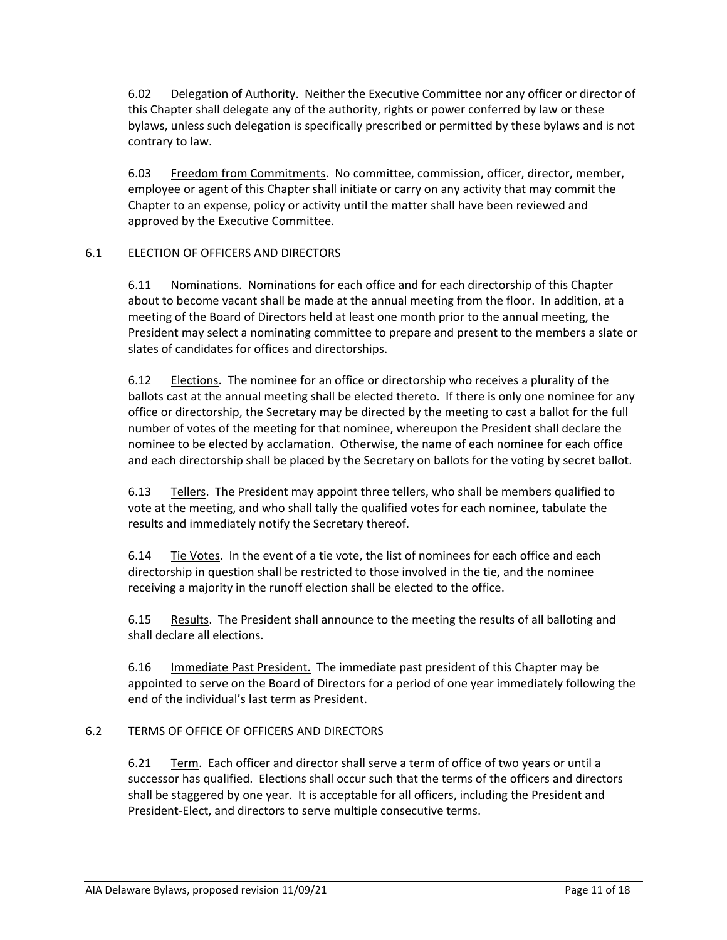6.02 Delegation of Authority. Neither the Executive Committee nor any officer or director of this Chapter shall delegate any of the authority, rights or power conferred by law or these bylaws, unless such delegation is specifically prescribed or permitted by these bylaws and is not contrary to law.

6.03 Freedom from Commitments. No committee, commission, officer, director, member, employee or agent of this Chapter shall initiate or carry on any activity that may commit the Chapter to an expense, policy or activity until the matter shall have been reviewed and approved by the Executive Committee.

# 6.1 ELECTION OF OFFICERS AND DIRECTORS

6.11 Nominations. Nominations for each office and for each directorship of this Chapter about to become vacant shall be made at the annual meeting from the floor. In addition, at a meeting of the Board of Directors held at least one month prior to the annual meeting, the President may select a nominating committee to prepare and present to the members a slate or slates of candidates for offices and directorships.

6.12 Elections. The nominee for an office or directorship who receives a plurality of the ballots cast at the annual meeting shall be elected thereto. If there is only one nominee for any office or directorship, the Secretary may be directed by the meeting to cast a ballot for the full number of votes of the meeting for that nominee, whereupon the President shall declare the nominee to be elected by acclamation. Otherwise, the name of each nominee for each office and each directorship shall be placed by the Secretary on ballots for the voting by secret ballot.

6.13 Tellers. The President may appoint three tellers, who shall be members qualified to vote at the meeting, and who shall tally the qualified votes for each nominee, tabulate the results and immediately notify the Secretary thereof.

6.14 Tie Votes. In the event of a tie vote, the list of nominees for each office and each directorship in question shall be restricted to those involved in the tie, and the nominee receiving a majority in the runoff election shall be elected to the office.

6.15 Results. The President shall announce to the meeting the results of all balloting and shall declare all elections.

6.16 Immediate Past President. The immediate past president of this Chapter may be appointed to serve on the Board of Directors for a period of one year immediately following the end of the individual's last term as President.

# 6.2 TERMS OF OFFICE OF OFFICERS AND DIRECTORS

6.21 Term. Each officer and director shall serve a term of office of two years or until a successor has qualified. Elections shall occur such that the terms of the officers and directors shall be staggered by one year. It is acceptable for all officers, including the President and President‐Elect, and directors to serve multiple consecutive terms.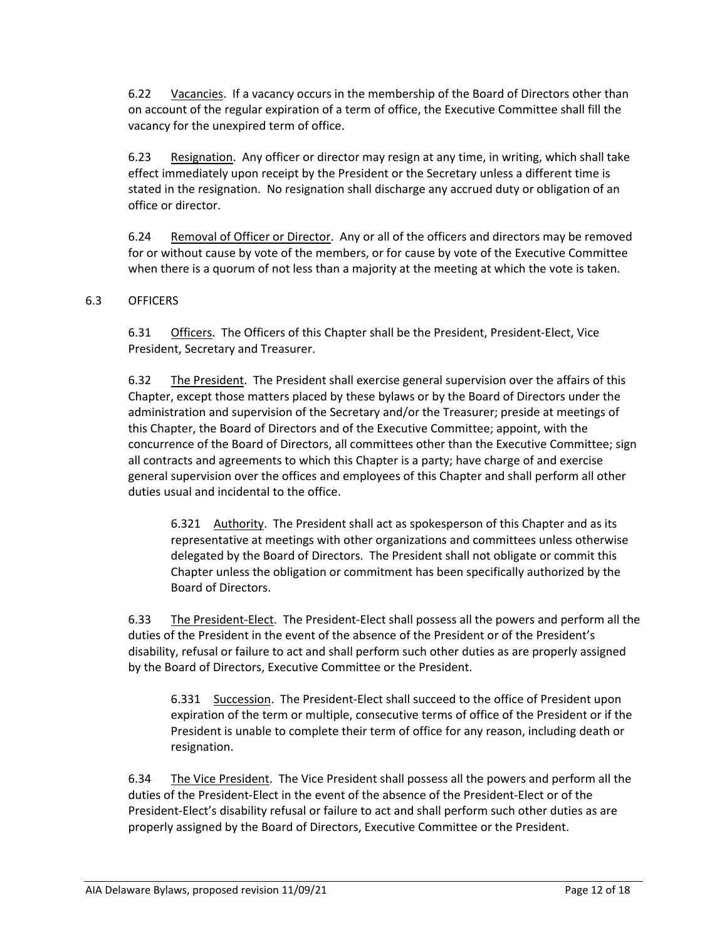6.22 Vacancies. If a vacancy occurs in the membership of the Board of Directors other than on account of the regular expiration of a term of office, the Executive Committee shall fill the vacancy for the unexpired term of office.

6.23 Resignation. Any officer or director may resign at any time, in writing, which shall take effect immediately upon receipt by the President or the Secretary unless a different time is stated in the resignation. No resignation shall discharge any accrued duty or obligation of an office or director.

6.24 Removal of Officer or Director. Any or all of the officers and directors may be removed for or without cause by vote of the members, or for cause by vote of the Executive Committee when there is a quorum of not less than a majority at the meeting at which the vote is taken.

### 6.3 OFFICERS

6.31 Officers. The Officers of this Chapter shall be the President, President‐Elect, Vice President, Secretary and Treasurer.

6.32 The President. The President shall exercise general supervision over the affairs of this Chapter, except those matters placed by these bylaws or by the Board of Directors under the administration and supervision of the Secretary and/or the Treasurer; preside at meetings of this Chapter, the Board of Directors and of the Executive Committee; appoint, with the concurrence of the Board of Directors, all committees other than the Executive Committee; sign all contracts and agreements to which this Chapter is a party; have charge of and exercise general supervision over the offices and employees of this Chapter and shall perform all other duties usual and incidental to the office.

6.321 Authority. The President shall act as spokesperson of this Chapter and as its representative at meetings with other organizations and committees unless otherwise delegated by the Board of Directors. The President shall not obligate or commit this Chapter unless the obligation or commitment has been specifically authorized by the Board of Directors.

6.33 The President‐Elect. The President‐Elect shall possess all the powers and perform all the duties of the President in the event of the absence of the President or of the President's disability, refusal or failure to act and shall perform such other duties as are properly assigned by the Board of Directors, Executive Committee or the President.

6.331 Succession. The President‐Elect shall succeed to the office of President upon expiration of the term or multiple, consecutive terms of office of the President or if the President is unable to complete their term of office for any reason, including death or resignation.

6.34 The Vice President. The Vice President shall possess all the powers and perform all the duties of the President‐Elect in the event of the absence of the President‐Elect or of the President‐Elect's disability refusal or failure to act and shall perform such other duties as are properly assigned by the Board of Directors, Executive Committee or the President.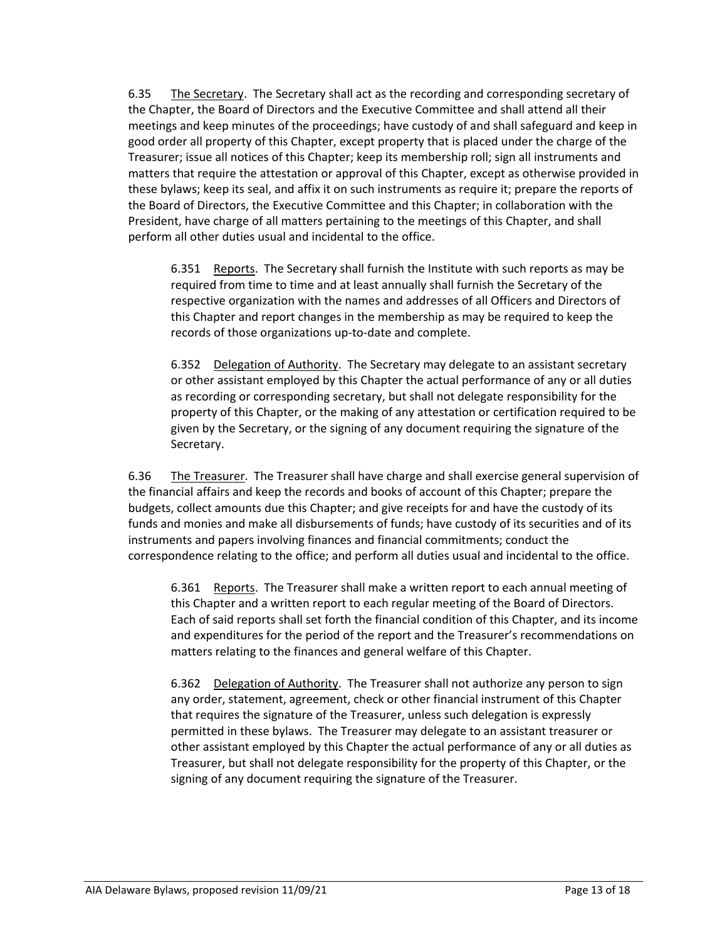6.35 The Secretary. The Secretary shall act as the recording and corresponding secretary of the Chapter, the Board of Directors and the Executive Committee and shall attend all their meetings and keep minutes of the proceedings; have custody of and shall safeguard and keep in good order all property of this Chapter, except property that is placed under the charge of the Treasurer; issue all notices of this Chapter; keep its membership roll; sign all instruments and matters that require the attestation or approval of this Chapter, except as otherwise provided in these bylaws; keep its seal, and affix it on such instruments as require it; prepare the reports of the Board of Directors, the Executive Committee and this Chapter; in collaboration with the President, have charge of all matters pertaining to the meetings of this Chapter, and shall perform all other duties usual and incidental to the office.

6.351 Reports. The Secretary shall furnish the Institute with such reports as may be required from time to time and at least annually shall furnish the Secretary of the respective organization with the names and addresses of all Officers and Directors of this Chapter and report changes in the membership as may be required to keep the records of those organizations up‐to‐date and complete.

6.352 Delegation of Authority. The Secretary may delegate to an assistant secretary or other assistant employed by this Chapter the actual performance of any or all duties as recording or corresponding secretary, but shall not delegate responsibility for the property of this Chapter, or the making of any attestation or certification required to be given by the Secretary, or the signing of any document requiring the signature of the Secretary.

6.36 The Treasurer. The Treasurer shall have charge and shall exercise general supervision of the financial affairs and keep the records and books of account of this Chapter; prepare the budgets, collect amounts due this Chapter; and give receipts for and have the custody of its funds and monies and make all disbursements of funds; have custody of its securities and of its instruments and papers involving finances and financial commitments; conduct the correspondence relating to the office; and perform all duties usual and incidental to the office.

6.361 Reports. The Treasurer shall make a written report to each annual meeting of this Chapter and a written report to each regular meeting of the Board of Directors. Each of said reports shall set forth the financial condition of this Chapter, and its income and expenditures for the period of the report and the Treasurer's recommendations on matters relating to the finances and general welfare of this Chapter.

6.362 Delegation of Authority. The Treasurer shall not authorize any person to sign any order, statement, agreement, check or other financial instrument of this Chapter that requires the signature of the Treasurer, unless such delegation is expressly permitted in these bylaws. The Treasurer may delegate to an assistant treasurer or other assistant employed by this Chapter the actual performance of any or all duties as Treasurer, but shall not delegate responsibility for the property of this Chapter, or the signing of any document requiring the signature of the Treasurer.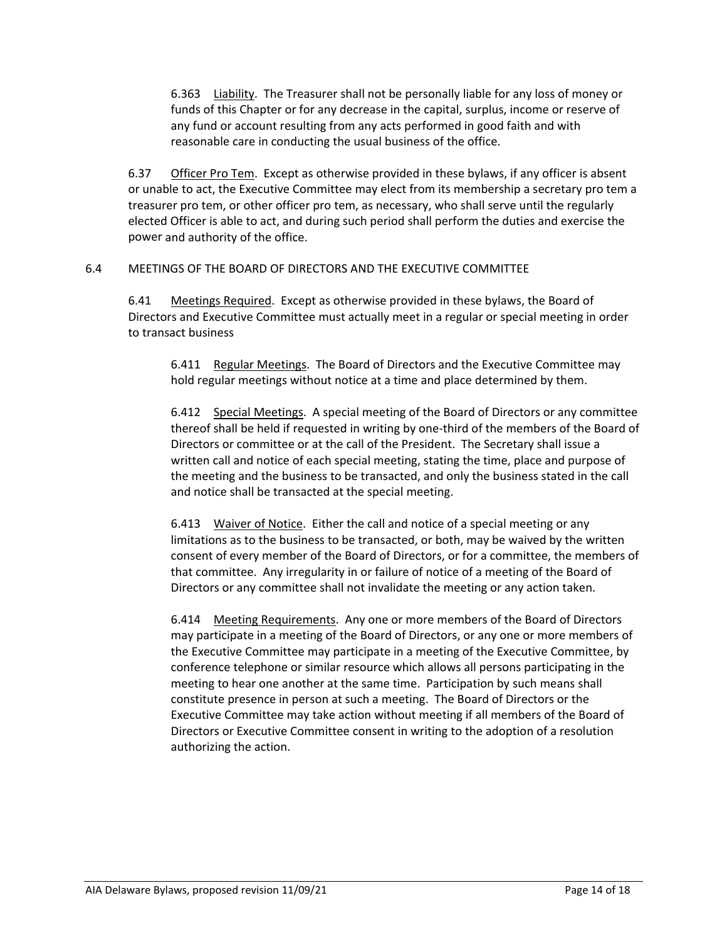6.363 Liability. The Treasurer shall not be personally liable for any loss of money or funds of this Chapter or for any decrease in the capital, surplus, income or reserve of any fund or account resulting from any acts performed in good faith and with reasonable care in conducting the usual business of the office.

6.37 Officer Pro Tem. Except as otherwise provided in these bylaws, if any officer is absent or unable to act, the Executive Committee may elect from its membership a secretary pro tem a treasurer pro tem, or other officer pro tem, as necessary, who shall serve until the regularly elected Officer is able to act, and during such period shall perform the duties and exercise the power and authority of the office.

# 6.4 MEETINGS OF THE BOARD OF DIRECTORS AND THE EXECUTIVE COMMITTEE

6.41 Meetings Required. Except as otherwise provided in these bylaws, the Board of Directors and Executive Committee must actually meet in a regular or special meeting in order to transact business

6.411 Regular Meetings. The Board of Directors and the Executive Committee may hold regular meetings without notice at a time and place determined by them.

6.412 Special Meetings. A special meeting of the Board of Directors or any committee thereof shall be held if requested in writing by one‐third of the members of the Board of Directors or committee or at the call of the President. The Secretary shall issue a written call and notice of each special meeting, stating the time, place and purpose of the meeting and the business to be transacted, and only the business stated in the call and notice shall be transacted at the special meeting.

6.413 Waiver of Notice. Either the call and notice of a special meeting or any limitations as to the business to be transacted, or both, may be waived by the written consent of every member of the Board of Directors, or for a committee, the members of that committee. Any irregularity in or failure of notice of a meeting of the Board of Directors or any committee shall not invalidate the meeting or any action taken.

6.414 Meeting Requirements. Any one or more members of the Board of Directors may participate in a meeting of the Board of Directors, or any one or more members of the Executive Committee may participate in a meeting of the Executive Committee, by conference telephone or similar resource which allows all persons participating in the meeting to hear one another at the same time. Participation by such means shall constitute presence in person at such a meeting. The Board of Directors or the Executive Committee may take action without meeting if all members of the Board of Directors or Executive Committee consent in writing to the adoption of a resolution authorizing the action.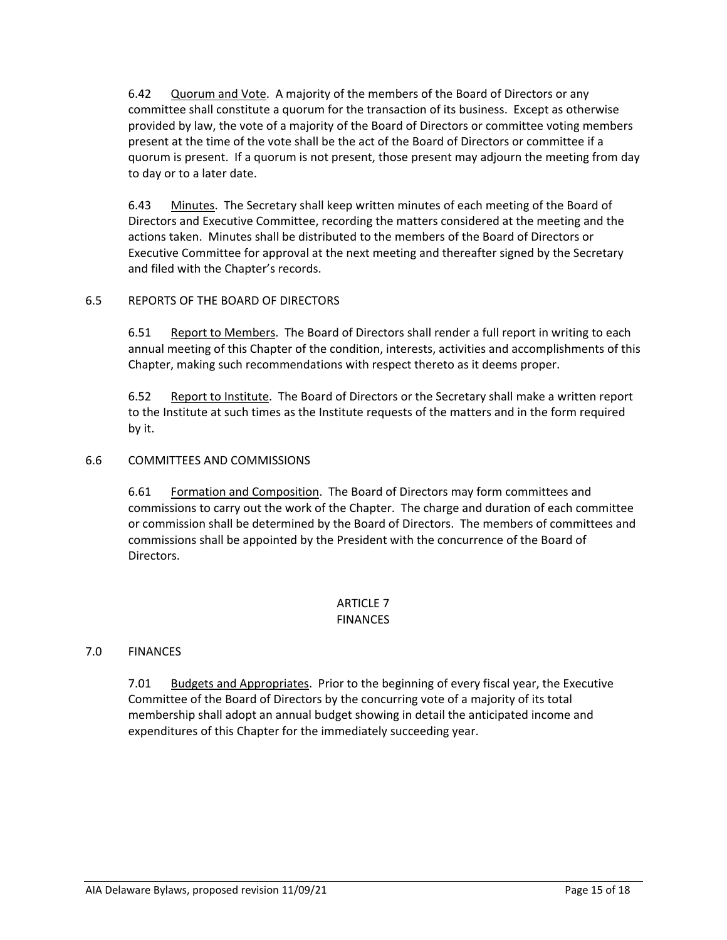6.42 Quorum and Vote. A majority of the members of the Board of Directors or any committee shall constitute a quorum for the transaction of its business. Except as otherwise provided by law, the vote of a majority of the Board of Directors or committee voting members present at the time of the vote shall be the act of the Board of Directors or committee if a quorum is present. If a quorum is not present, those present may adjourn the meeting from day to day or to a later date.

6.43 Minutes. The Secretary shall keep written minutes of each meeting of the Board of Directors and Executive Committee, recording the matters considered at the meeting and the actions taken. Minutes shall be distributed to the members of the Board of Directors or Executive Committee for approval at the next meeting and thereafter signed by the Secretary and filed with the Chapter's records.

### 6.5 REPORTS OF THE BOARD OF DIRECTORS

6.51 Report to Members. The Board of Directors shall render a full report in writing to each annual meeting of this Chapter of the condition, interests, activities and accomplishments of this Chapter, making such recommendations with respect thereto as it deems proper.

6.52 Report to Institute. The Board of Directors or the Secretary shall make a written report to the Institute at such times as the Institute requests of the matters and in the form required by it.

### 6.6 COMMITTEES AND COMMISSIONS

6.61 Formation and Composition. The Board of Directors may form committees and commissions to carry out the work of the Chapter. The charge and duration of each committee or commission shall be determined by the Board of Directors. The members of committees and commissions shall be appointed by the President with the concurrence of the Board of Directors.

### ARTICLE 7 FINANCES

# 7.0 FINANCES

7.01 Budgets and Appropriates. Prior to the beginning of every fiscal year, the Executive Committee of the Board of Directors by the concurring vote of a majority of its total membership shall adopt an annual budget showing in detail the anticipated income and expenditures of this Chapter for the immediately succeeding year.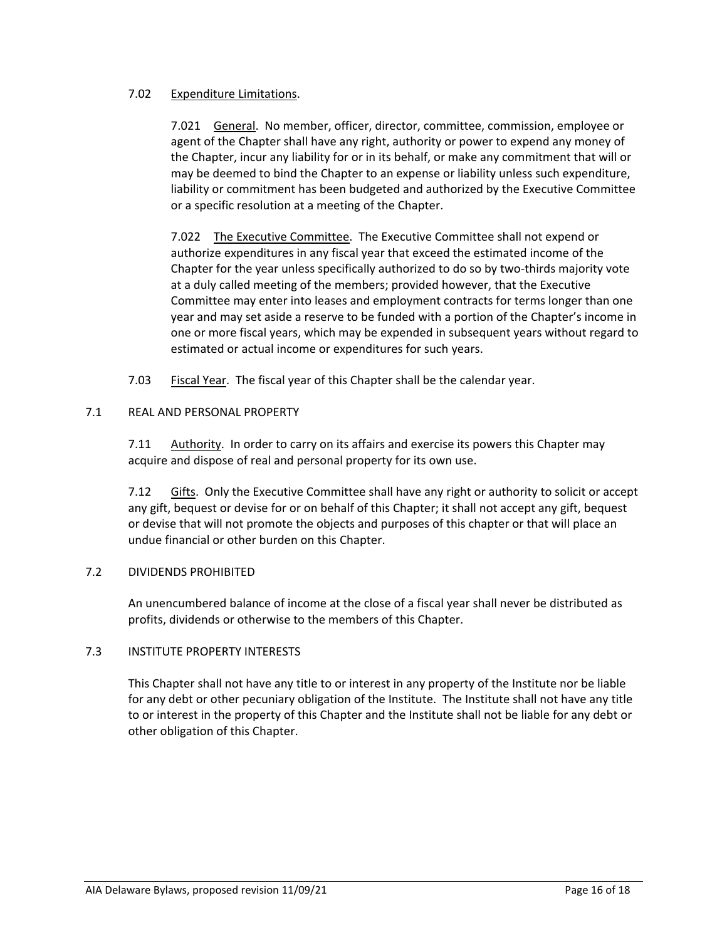#### 7.02 Expenditure Limitations.

7.021 General. No member, officer, director, committee, commission, employee or agent of the Chapter shall have any right, authority or power to expend any money of the Chapter, incur any liability for or in its behalf, or make any commitment that will or may be deemed to bind the Chapter to an expense or liability unless such expenditure, liability or commitment has been budgeted and authorized by the Executive Committee or a specific resolution at a meeting of the Chapter.

7.022 The Executive Committee. The Executive Committee shall not expend or authorize expenditures in any fiscal year that exceed the estimated income of the Chapter for the year unless specifically authorized to do so by two‐thirds majority vote at a duly called meeting of the members; provided however, that the Executive Committee may enter into leases and employment contracts for terms longer than one year and may set aside a reserve to be funded with a portion of the Chapter's income in one or more fiscal years, which may be expended in subsequent years without regard to estimated or actual income or expenditures for such years.

7.03 Fiscal Year. The fiscal year of this Chapter shall be the calendar year.

### 7.1 REAL AND PERSONAL PROPERTY

7.11 Authority. In order to carry on its affairs and exercise its powers this Chapter may acquire and dispose of real and personal property for its own use.

7.12 Gifts. Only the Executive Committee shall have any right or authority to solicit or accept any gift, bequest or devise for or on behalf of this Chapter; it shall not accept any gift, bequest or devise that will not promote the objects and purposes of this chapter or that will place an undue financial or other burden on this Chapter.

# 7.2 DIVIDENDS PROHIBITED

An unencumbered balance of income at the close of a fiscal year shall never be distributed as profits, dividends or otherwise to the members of this Chapter.

# 7.3 INSTITUTE PROPERTY INTERESTS

This Chapter shall not have any title to or interest in any property of the Institute nor be liable for any debt or other pecuniary obligation of the Institute. The Institute shall not have any title to or interest in the property of this Chapter and the Institute shall not be liable for any debt or other obligation of this Chapter.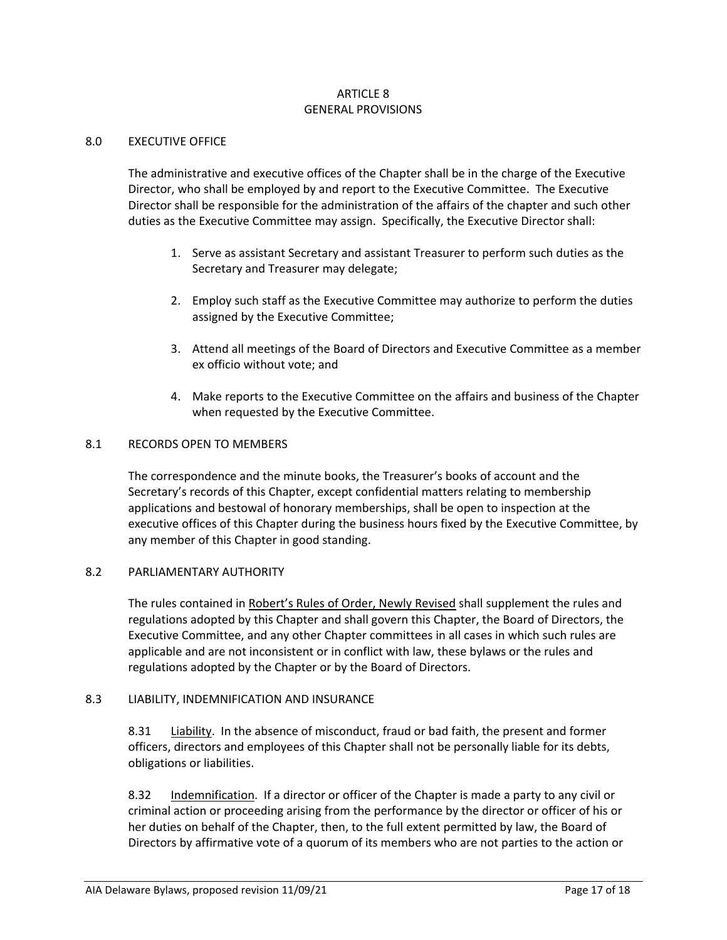#### ARTICLE 8 GENERAL PROVISIONS

#### 8.0 EXECUTIVE OFFICE

The administrative and executive offices of the Chapter shall be in the charge of the Executive Director, who shall be employed by and report to the Executive Committee. The Executive Director shall be responsible for the administration of the affairs of the chapter and such other duties as the Executive Committee may assign. Specifically, the Executive Director shall:

- 1. Serve as assistant Secretary and assistant Treasurer to perform such duties as the Secretary and Treasurer may delegate;
- 2. Employ such staff as the Executive Committee may authorize to perform the duties assigned by the Executive Committee;
- 3. Attend all meetings of the Board of Directors and Executive Committee as a member ex officio without vote; and
- 4. Make reports to the Executive Committee on the affairs and business of the Chapter when requested by the Executive Committee.

#### 8.1 RECORDS OPEN TO MEMBERS

The correspondence and the minute books, the Treasurer's books of account and the Secretary's records of this Chapter, except confidential matters relating to membership applications and bestowal of honorary memberships, shall be open to inspection at the executive offices of this Chapter during the business hours fixed by the Executive Committee, by any member of this Chapter in good standing.

#### 8.2 PARLIAMENTARY AUTHORITY

The rules contained in Robert's Rules of Order, Newly Revised shall supplement the rules and regulations adopted by this Chapter and shall govern this Chapter, the Board of Directors, the Executive Committee, and any other Chapter committees in all cases in which such rules are applicable and are not inconsistent or in conflict with law, these bylaws or the rules and regulations adopted by the Chapter or by the Board of Directors.

#### 8.3 LIABILITY, INDEMNIFICATION AND INSURANCE

8.31 Liability. In the absence of misconduct, fraud or bad faith, the present and former officers, directors and employees of this Chapter shall not be personally liable for its debts, obligations or liabilities.

8.32 Indemnification. If a director or officer of the Chapter is made a party to any civil or criminal action or proceeding arising from the performance by the director or officer of his or her duties on behalf of the Chapter, then, to the full extent permitted by law, the Board of Directors by affirmative vote of a quorum of its members who are not parties to the action or